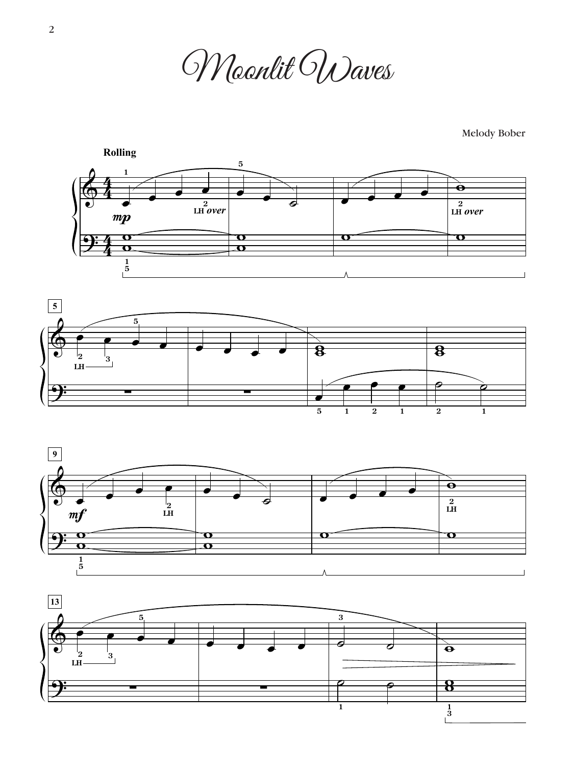Moonlit Waves

Melody Bober







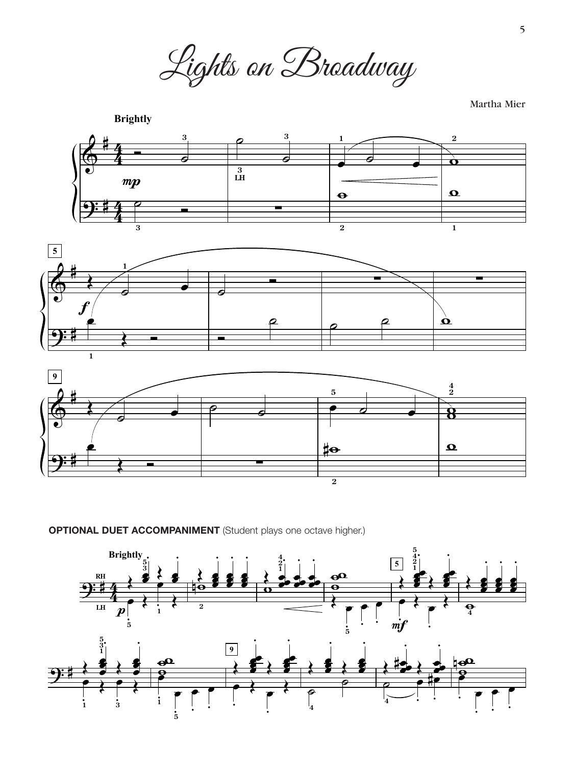Lights on Broadway

Martha Mier



**OPTIONAL DUET ACCOMPANIMENT** (Student plays one octave higher.)

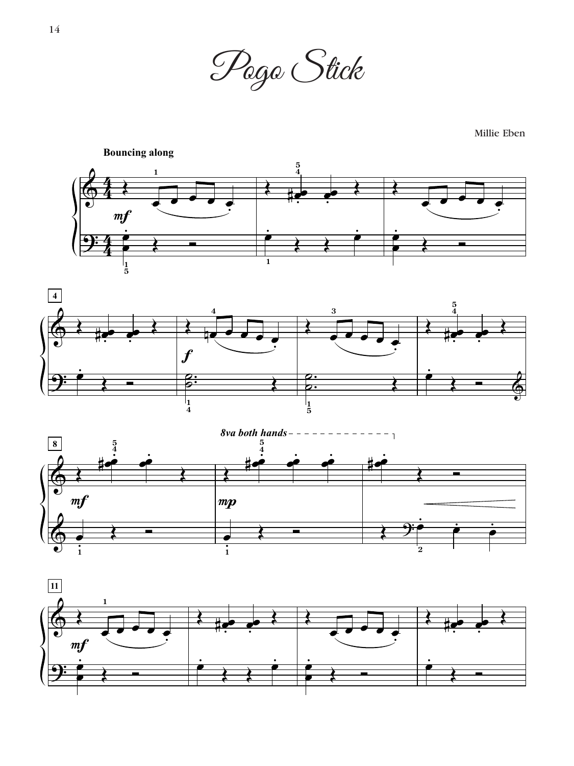

Millie Eben